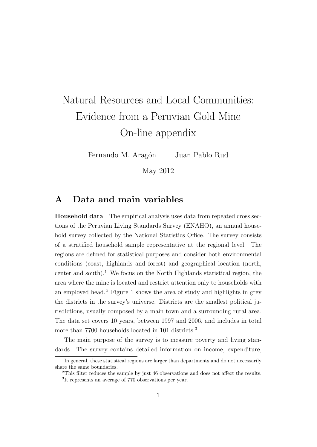# Natural Resources and Local Communities: Evidence from a Peruvian Gold Mine On-line appendix

Fernando M. Aragón Juan Pablo Rud

May 2012

## A Data and main variables

Household data The empirical analysis uses data from repeated cross sections of the Peruvian Living Standards Survey (ENAHO), an annual household survey collected by the National Statistics Office. The survey consists of a stratified household sample representative at the regional level. The regions are defined for statistical purposes and consider both environmental conditions (coast, highlands and forest) and geographical location (north, center and south).<sup>1</sup> We focus on the North Highlands statistical region, the area where the mine is located and restrict attention only to households with an employed head.<sup>2</sup> Figure 1 shows the area of study and highlights in grey the districts in the survey's universe. Districts are the smallest political jurisdictions, usually composed by a main town and a surrounding rural area. The data set covers 10 years, between 1997 and 2006, and includes in total more than 7700 households located in 101 districts.<sup>3</sup>

The main purpose of the survey is to measure poverty and living standards. The survey contains detailed information on income, expenditure,

<sup>&</sup>lt;sup>1</sup>In general, these statistical regions are larger than departments and do not necessarily share the same boundaries.

<sup>&</sup>lt;sup>2</sup>This filter reduces the sample by just 46 observations and does not affect the results. <sup>3</sup>It represents an average of 770 observations per year.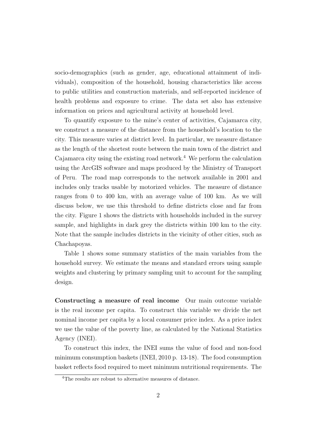socio-demographics (such as gender, age, educational attainment of individuals), composition of the household, housing characteristics like access to public utilities and construction materials, and self-reported incidence of health problems and exposure to crime. The data set also has extensive information on prices and agricultural activity at household level.

To quantify exposure to the mine's center of activities, Cajamarca city, we construct a measure of the distance from the household's location to the city. This measure varies at district level. In particular, we measure distance as the length of the shortest route between the main town of the district and Cajamarca city using the existing road network.<sup>4</sup> We perform the calculation using the ArcGIS software and maps produced by the Ministry of Transport of Peru. The road map corresponds to the network available in 2001 and includes only tracks usable by motorized vehicles. The measure of distance ranges from 0 to 400 km, with an average value of 100 km. As we will discuss below, we use this threshold to define districts close and far from the city. Figure 1 shows the districts with households included in the survey sample, and highlights in dark grey the districts within 100 km to the city. Note that the sample includes districts in the vicinity of other cities, such as Chachapoyas.

Table 1 shows some summary statistics of the main variables from the household survey. We estimate the means and standard errors using sample weights and clustering by primary sampling unit to account for the sampling design.

Constructing a measure of real income Our main outcome variable is the real income per capita. To construct this variable we divide the net nominal income per capita by a local consumer price index. As a price index we use the value of the poverty line, as calculated by the National Statistics Agency (INEI).

To construct this index, the INEI sums the value of food and non-food minimum consumption baskets (INEI, 2010 p. 13-18). The food consumption basket reflects food required to meet minimum nutritional requirements. The

<sup>4</sup>The results are robust to alternative measures of distance.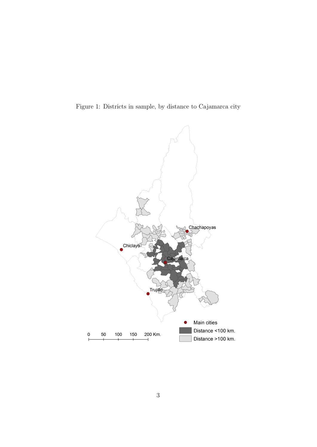Figure 1: Districts in sample, by distance to Cajamarca city

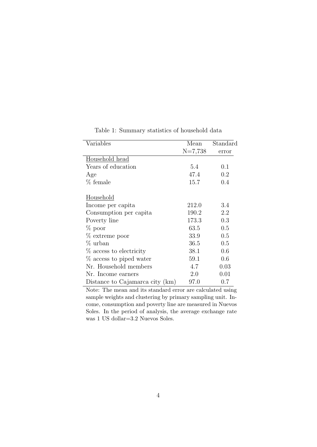| Variables                       | Mean      | Standard |
|---------------------------------|-----------|----------|
|                                 | $N=7,738$ | error    |
| Household head                  |           |          |
| Years of education              | 5.4       | 0.1      |
| Age                             | 47.4      | 0.2      |
| % female                        | 15.7      | 0.4      |
| Household                       |           |          |
| Income per capita               | 212.0     | 3.4      |
| Consumption per capita          | 190.2     | 2.2      |
| Poverty line                    | 173.3     | 0.3      |
| $\%$ poor                       | 63.5      | 0.5      |
| $%$ extreme poor                | 33.9      | 0.5      |
| % urban                         | 36.5      | 0.5      |
| % access to electricity         | 38.1      | 0.6      |
| % access to piped water         | 59.1      | 0.6      |
| Nr. Household members           | 4.7       | 0.03     |
| Nr. Income earners              | 2.0       | 0.01     |
| Distance to Cajamarca city (km) | 97.0      | $0.7\,$  |

Table 1: Summary statistics of household data

Note: The mean and its standard error are calculated using sample weights and clustering by primary sampling unit. Income, consumption and poverty line are measured in Nuevos Soles. In the period of analysis, the average exchange rate was 1 US dollar=3.2 Nuevos Soles.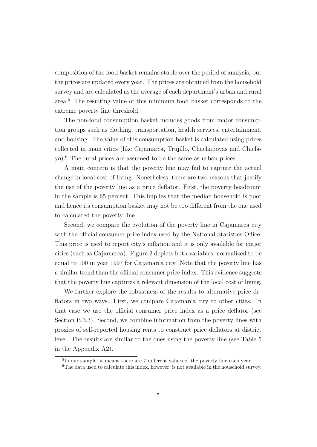composition of the food basket remains stable over the period of analysis, but the prices are updated every year. The prices are obtained from the household survey and are calculated as the average of each department's urban and rural area.<sup>5</sup> The resulting value of this minimum food basket corresponds to the extreme poverty line threshold.

The non-food consumption basket includes goods from major consumption groups such as clothing, transportation, health services, entertainment, and housing. The value of this consumption basket is calculated using prices collected in main cities (like Cajamarca, Trujillo, Chachapoyas and Chiclayo).<sup>6</sup> The rural prices are assumed to be the same as urban prices.

A main concern is that the poverty line may fail to capture the actual change in local cost of living. Nonetheless, there are two reasons that justify the use of the poverty line as a price deflator. First, the poverty headcount in the sample is 65 percent. This implies that the median household is poor and hence its consumption basket may not be too different from the one used to calculated the poverty line.

Second, we compare the evolution of the poverty line in Cajamarca city with the official consumer price index used by the National Statistics Office. This price is used to report city's inflation and it is only available for major cities (such as Cajamarca). Figure 2 depicts both variables, normalized to be equal to 100 in year 1997 for Cajamarca city. Note that the poverty line has a similar trend than the official consumer price index. This evidence suggests that the poverty line captures a relevant dimension of the local cost of living.

We further explore the robustness of the results to alternative price deflators in two ways. First, we compare Cajamarca city to other cities. In that case we use the official consumer price index as a price deflator (see Section B.3.3). Second, we combine information from the poverty lines with proxies of self-reported housing rents to construct price deflators at district level. The results are similar to the ones using the poverty line (see Table 5 in the Appendix A2).

<sup>5</sup> In our sample, it means there are 7 different values of the poverty line each year.

<sup>6</sup>The data used to calculate this index, however, is not available in the household survey.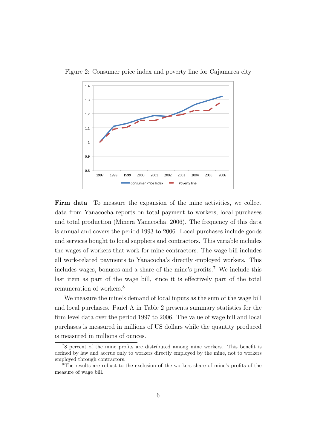

Figure 2: Consumer price index and poverty line for Cajamarca city

Firm data To measure the expansion of the mine activities, we collect data from Yanacocha reports on total payment to workers, local purchases and total production (Minera Yanacocha, 2006). The frequency of this data is annual and covers the period 1993 to 2006. Local purchases include goods and services bought to local suppliers and contractors. This variable includes the wages of workers that work for mine contractors. The wage bill includes all work-related payments to Yanacocha's directly employed workers. This includes wages, bonuses and a share of the mine's profits.<sup>7</sup> We include this last item as part of the wage bill, since it is effectively part of the total remuneration of workers.<sup>8</sup>

We measure the mine's demand of local inputs as the sum of the wage bill and local purchases. Panel A in Table 2 presents summary statistics for the firm level data over the period 1997 to 2006. The value of wage bill and local purchases is measured in millions of US dollars while the quantity produced is measured in millions of ounces.

<sup>7</sup>8 percent of the mine profits are distributed among mine workers. This benefit is defined by law and accrue only to workers directly employed by the mine, not to workers employed through contractors.

<sup>8</sup>The results are robust to the exclusion of the workers share of mine's profits of the measure of wage bill.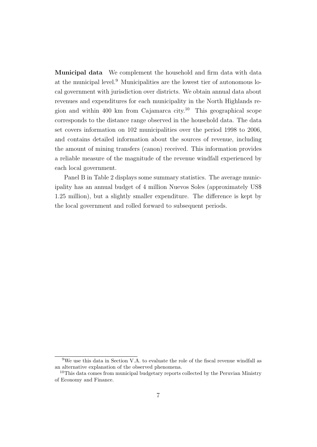Municipal data We complement the household and firm data with data at the municipal level.<sup>9</sup> Municipalities are the lowest tier of autonomous local government with jurisdiction over districts. We obtain annual data about revenues and expenditures for each municipality in the North Highlands region and within 400 km from Cajamarca city.<sup>10</sup> This geographical scope corresponds to the distance range observed in the household data. The data set covers information on 102 municipalities over the period 1998 to 2006, and contains detailed information about the sources of revenue, including the amount of mining transfers (canon) received. This information provides a reliable measure of the magnitude of the revenue windfall experienced by each local government.

Panel B in Table 2 displays some summary statistics. The average municipality has an annual budget of 4 million Nuevos Soles (approximately US\$ 1.25 million), but a slightly smaller expenditure. The difference is kept by the local government and rolled forward to subsequent periods.

<sup>9</sup>We use this data in Section V.A. to evaluate the role of the fiscal revenue windfall as an alternative explanation of the observed phenomena.

<sup>10</sup>This data comes from municipal budgetary reports collected by the Peruvian Ministry of Economy and Finance.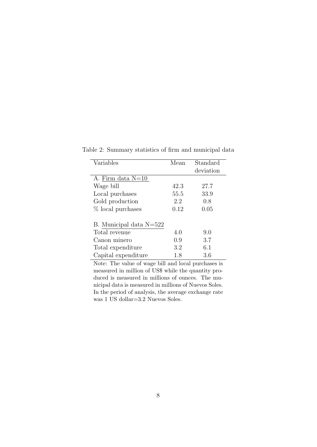| Variables               | Mean | Standard<br>deviation |
|-------------------------|------|-----------------------|
| A. Firm data $N=10$     |      |                       |
| Wage bill               | 42.3 | 27.7                  |
| Local purchases         | 55.5 | 33.9                  |
| Gold production         | 2.2  | 0.8                   |
| % local purchases       | 0.12 | 0.05                  |
| B. Municipal data N=522 |      |                       |
| Total revenue           | 4.0  | 9.0                   |
| Canon minero            | 0.9  | 3.7                   |
| Total expenditure       | 3.2  | 6.1                   |
| Capital expenditure     | 1.8  | 3.6                   |

Table 2: Summary statistics of firm and municipal data

Note: The value of wage bill and local purchases is measured in million of US\$ while the quantity produced is measured in millions of ounces. The municipal data is measured in millions of Nuevos Soles. In the period of analysis, the average exchange rate was 1 US dollar=3.2 Nuevos Soles.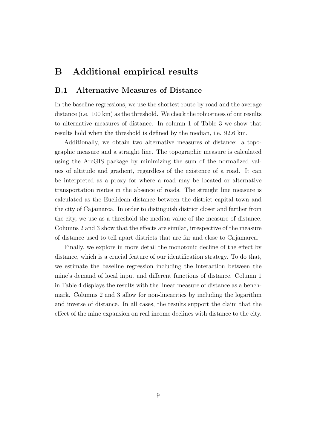# B Additional empirical results

## B.1 Alternative Measures of Distance

In the baseline regressions, we use the shortest route by road and the average distance (i.e. 100 km) as the threshold. We check the robustness of our results to alternative measures of distance. In column 1 of Table 3 we show that results hold when the threshold is defined by the median, i.e. 92.6 km.

Additionally, we obtain two alternative measures of distance: a topographic measure and a straight line. The topographic measure is calculated using the ArcGIS package by minimizing the sum of the normalized values of altitude and gradient, regardless of the existence of a road. It can be interpreted as a proxy for where a road may be located or alternative transportation routes in the absence of roads. The straight line measure is calculated as the Euclidean distance between the district capital town and the city of Cajamarca. In order to distinguish district closer and farther from the city, we use as a threshold the median value of the measure of distance. Columns 2 and 3 show that the effects are similar, irrespective of the measure of distance used to tell apart districts that are far and close to Cajamarca.

Finally, we explore in more detail the monotonic decline of the effect by distance, which is a crucial feature of our identification strategy. To do that, we estimate the baseline regression including the interaction between the mine's demand of local input and different functions of distance. Column 1 in Table 4 displays the results with the linear measure of distance as a benchmark. Columns 2 and 3 allow for non-linearities by including the logarithm and inverse of distance. In all cases, the results support the claim that the effect of the mine expansion on real income declines with distance to the city.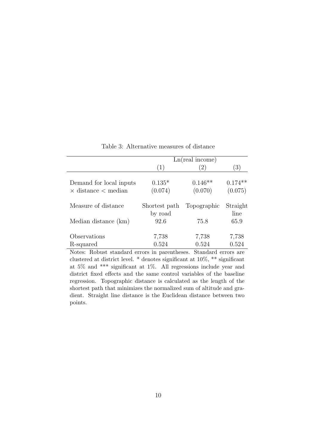|                                                              |                          | Ln(real income)      |                      |
|--------------------------------------------------------------|--------------------------|----------------------|----------------------|
|                                                              | (1)                      | 2)                   | (3)                  |
| Demand for local inputs<br>$\times$ distance $\times$ median | $0.135*$<br>(0.074)      | $0.146**$<br>(0.070) | $0.174**$<br>(0.075) |
| Measure of distance                                          | Shortest path<br>by road | Topographic          | Straight<br>line     |
| Median distance (km)                                         | 92.6                     | 75.8                 | 65.9                 |
| Observations                                                 | 7,738                    | 7,738                | 7,738                |
| R-squared                                                    | 0.524                    | 0.524                | 0.524                |

Table 3: Alternative measures of distance

Notes: Robust standard errors in parentheses. Standard errors are clustered at district level. \* denotes significant at 10%, \*\* significant at 5% and \*\*\* significant at 1%. All regressions include year and district fixed effects and the same control variables of the baseline regression. Topographic distance is calculated as the length of the shortest path that minimizes the normalized sum of altitude and gradient. Straight line distance is the Euclidean distance between two points.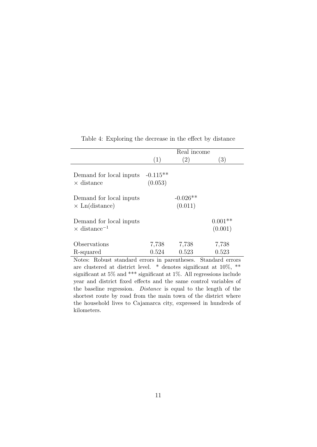|                                                            |                       | Real income           |                      |
|------------------------------------------------------------|-----------------------|-----------------------|----------------------|
|                                                            | (1)                   | (2)                   | $\left(3\right)$     |
| Demand for local inputs<br>$\times$ distance               | $-0.115**$<br>(0.053) |                       |                      |
| Demand for local inputs<br>$\times$ Ln(distance)           |                       | $-0.026**$<br>(0.011) |                      |
| Demand for local inputs<br>$\times$ distance <sup>-1</sup> |                       |                       | $0.001**$<br>(0.001) |
| Observations                                               | 7,738                 | 7,738                 | 7,738                |
| R-squared                                                  | 0.524                 | 0.523                 | 0.523                |
| Notes: Robust standard errors in parentheses               |                       |                       | Standard errors      |

Table 4: Exploring the decrease in the effect by distance

Notes: Robust standard errors in parentheses. Standard errors are clustered at district level. \* denotes significant at 10%, \*\* significant at 5% and \*\*\* significant at 1%. All regressions include year and district fixed effects and the same control variables of the baseline regression. Distance is equal to the length of the shortest route by road from the main town of the district where the household lives to Cajamarca city, expressed in hundreds of kilometers.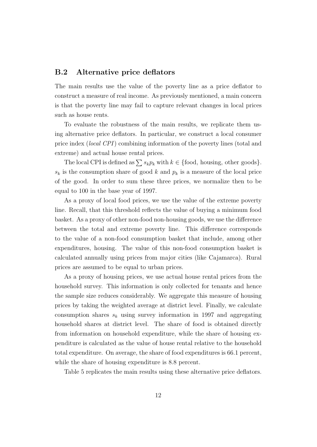## B.2 Alternative price deflators

The main results use the value of the poverty line as a price deflator to construct a measure of real income. As previously mentioned, a main concern is that the poverty line may fail to capture relevant changes in local prices such as house rents.

To evaluate the robustness of the main results, we replicate them using alternative price deflators. In particular, we construct a local consumer price index (local CPI) combining information of the poverty lines (total and extreme) and actual house rental prices.

The local CPI is defined as  $\sum s_k p_k$  with  $k \in \{\text{food}, \text{ housing}, \text{other goods}\}.$  $s_k$  is the consumption share of good k and  $p_k$  is a measure of the local price of the good. In order to sum these three prices, we normalize then to be equal to 100 in the base year of 1997.

As a proxy of local food prices, we use the value of the extreme poverty line. Recall, that this threshold reflects the value of buying a minimum food basket. As a proxy of other non-food non-housing goods, we use the difference between the total and extreme poverty line. This difference corresponds to the value of a non-food consumption basket that include, among other expenditures, housing. The value of this non-food consumption basket is calculated annually using prices from major cities (like Cajamarca). Rural prices are assumed to be equal to urban prices.

As a proxy of housing prices, we use actual house rental prices from the household survey. This information is only collected for tenants and hence the sample size reduces considerably. We aggregate this measure of housing prices by taking the weighted average at district level. Finally, we calculate consumption shares  $s_k$  using survey information in 1997 and aggregating household shares at district level. The share of food is obtained directly from information on household expenditure, while the share of housing expenditure is calculated as the value of house rental relative to the household total expenditure. On average, the share of food expenditures is 66.1 percent, while the share of housing expenditure is 8.8 percent.

Table 5 replicates the main results using these alternative price deflators.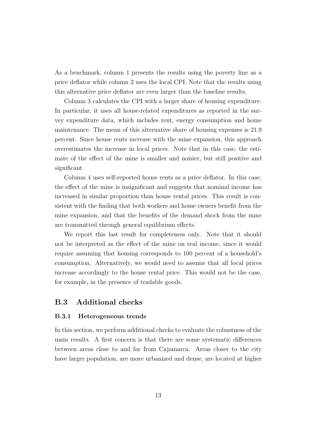As a benchmark, column 1 presents the results using the poverty line as a price deflator while column 2 uses the local CPI. Note that the results using this alternative price deflator are even larger than the baseline results.

Column 3 calculates the CPI with a larger share of housing expenditure. In particular, it uses all house-related expenditures as reported in the survey expenditure data, which includes rent, energy consumption and home maintenance. The mean of this alternative share of housing expenses is 21.9 percent. Since house rents increase with the mine expansion, this approach overestimates the increase in local prices. Note that in this case, the estimate of the effect of the mine is smaller and noisier, but still positive and significant.

Column 4 uses self-reported house rents as a price deflator. In this case, the effect of the mine is insignificant and suggests that nominal income has increased in similar proportion than house rental prices. This result is consistent with the finding that both workers and home owners benefit from the mine expansion, and that the benefits of the demand shock from the mine are transmitted through general equilibrium effects.

We report this last result for completeness only. Note that it should not be interpreted as the effect of the mine on real income, since it would require assuming that housing corresponds to 100 percent of a household's consumption. Alternatively, we would need to assume that all local prices increase accordingly to the house rental price. This would not be the case, for example, in the presence of tradable goods.

## B.3 Additional checks

#### B.3.1 Heterogeneous trends

In this section, we perform additional checks to evaluate the robustness of the main results. A first concern is that there are some systematic differences between areas close to and far from Cajamarca. Areas closer to the city have larger population, are more urbanized and dense, are located at higher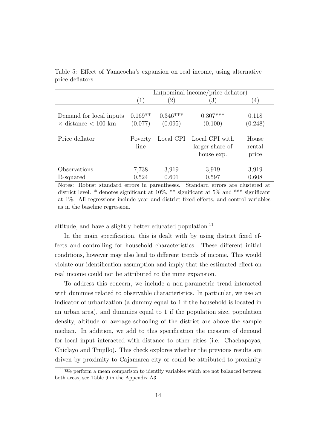|                                                         |                      |                       | Ln(nominal income/price deflator)                         |                          |
|---------------------------------------------------------|----------------------|-----------------------|-----------------------------------------------------------|--------------------------|
|                                                         | (1)                  | $\left( 2\right)$     | $\left(3\right)$                                          | $\left(4\right)$         |
| Demand for local inputs<br>$\times$ distance $< 100$ km | $0.169**$<br>(0.077) | $0.346***$<br>(0.095) | $0.307***$<br>(0.100)                                     | 0.118<br>(0.248)         |
| Price deflator                                          | Poverty<br>line      |                       | Local CPI Local CPI with<br>larger share of<br>house exp. | House<br>rental<br>price |
| Observations<br>R-squared                               | 7,738<br>0.524       | 3,919<br>0.601        | 3,919<br>0.597                                            | 3,919<br>0.608           |

Table 5: Effect of Yanacocha's expansion on real income, using alternative price deflators

Notes: Robust standard errors in parentheses. Standard errors are clustered at district level. \* denotes significant at 10%, \*\* significant at 5% and \*\*\* significant at 1%. All regressions include year and district fixed effects, and control variables as in the baseline regression.

altitude, and have a slightly better educated population.<sup>11</sup>

In the main specification, this is dealt with by using district fixed effects and controlling for household characteristics. These different initial conditions, however may also lead to different trends of income. This would violate our identification assumption and imply that the estimated effect on real income could not be attributed to the mine expansion.

To address this concern, we include a non-parametric trend interacted with dummies related to observable characteristics. In particular, we use an indicator of urbanization (a dummy equal to 1 if the household is located in an urban area), and dummies equal to 1 if the population size, population density, altitude or average schooling of the district are above the sample median. In addition, we add to this specification the measure of demand for local input interacted with distance to other cities (i.e. Chachapoyas, Chiclayo and Trujillo). This check explores whether the previous results are driven by proximity to Cajamarca city or could be attributed to proximity

<sup>&</sup>lt;sup>11</sup>We perform a mean comparison to identify variables which are not balanced between both areas, see Table 9 in the Appendix A3.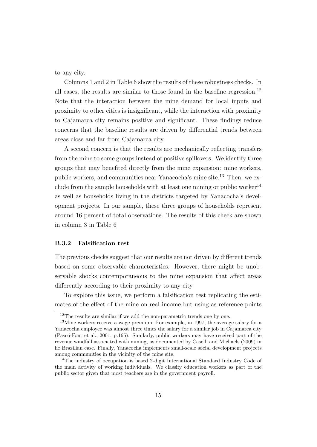to any city.

Columns 1 and 2 in Table 6 show the results of these robustness checks. In all cases, the results are similar to those found in the baseline regression.<sup>12</sup> Note that the interaction between the mine demand for local inputs and proximity to other cities is insignificant, while the interaction with proximity to Cajamarca city remains positive and significant. These findings reduce concerns that the baseline results are driven by differential trends between areas close and far from Cajamarca city.

A second concern is that the results are mechanically reflecting transfers from the mine to some groups instead of positive spillovers. We identify three groups that may benefited directly from the mine expansion: mine workers, public workers, and communities near Yanacocha's mine site.<sup>13</sup> Then, we exclude from the sample households with at least one mining or public worker<sup>14</sup> as well as households living in the districts targeted by Yanacocha's development projects. In our sample, these three groups of households represent around 16 percent of total observations. The results of this check are shown in column 3 in Table 6

#### B.3.2 Falsification test

The previous checks suggest that our results are not driven by different trends based on some observable characteristics. However, there might be unobservable shocks contemporaneous to the mine expansion that affect areas differently according to their proximity to any city.

To explore this issue, we perform a falsification test replicating the estimates of the effect of the mine on real income but using as reference points

<sup>&</sup>lt;sup>12</sup>The results are similar if we add the non-parametric trends one by one.

<sup>&</sup>lt;sup>13</sup>Mine workers receive a wage premium. For example, in 1997, the average salary for a Yanacocha employee was almost three times the salary for a similar job in Cajamarca city (Pascó-Font et al., 2001, p.165). Similarly, public workers may have received part of the revenue windfall associated with mining, as documented by Caselli and Michaels (2009) in he Brazilian case. Finally, Yanacocha implements small-scale social development projects among communities in the vicinity of the mine site.

<sup>14</sup>The industry of occupation is based 2-digit International Standard Industry Code of the main activity of working individuals. We classify education workers as part of the public sector given that most teachers are in the government payroll.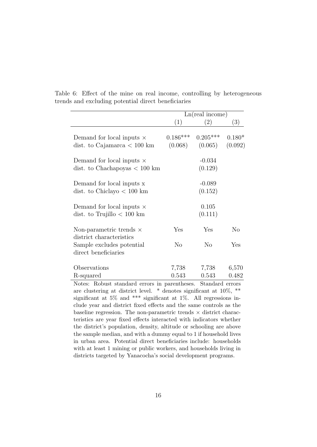|                                                                             |                       | Ln(real income)       |                     |
|-----------------------------------------------------------------------------|-----------------------|-----------------------|---------------------|
|                                                                             | (1)                   | (2)                   | (3)                 |
| Demand for local inputs $\times$<br>dist. to Cajamarca $< 100 \text{ km}$   | $0.186***$<br>(0.068) | $0.205***$<br>(0.065) | $0.180*$<br>(0.092) |
| Demand for local inputs $\times$<br>dist. to Chachapoyas $< 100 \text{ km}$ |                       | $-0.034$<br>(0.129)   |                     |
| Demand for local inputs x<br>dist. to Chiclayo $< 100 \text{ km}$           |                       | $-0.089$<br>(0.152)   |                     |
| Demand for local inputs $\times$<br>dist. to Trujillo $< 100 \text{ km}$    |                       | 0.105<br>(0.111)      |                     |
| Non-parametric trends $\times$<br>district characteristics                  | Yes                   | Yes                   | N <sub>o</sub>      |
| Sample excludes potential<br>direct beneficiaries                           | $\rm No$              | No                    | Yes                 |
| Observations                                                                | 7,738                 | 7,738                 | 6,570               |
| R-squared                                                                   | 0.543                 | 0.543                 | 0.482               |
| Notes: Robust standard errors in parentheses.                               |                       | Standard errors       |                     |

Table 6: Effect of the mine on real income, controlling by heterogeneous trends and excluding potential direct beneficiaries

are clustering at district level. \* denotes significant at 10%, \*\* significant at 5% and \*\*\* significant at 1%. All regressions include year and district fixed effects and the same controls as the baseline regression. The non-parametric trends  $\times$  district characteristics are year fixed effects interacted with indicators whether the district's population, density, altitude or schooling are above the sample median, and with a dummy equal to 1 if household lives in urban area. Potential direct beneficiaries include: households with at least 1 mining or public workers, and households living in districts targeted by Yanacocha's social development programs.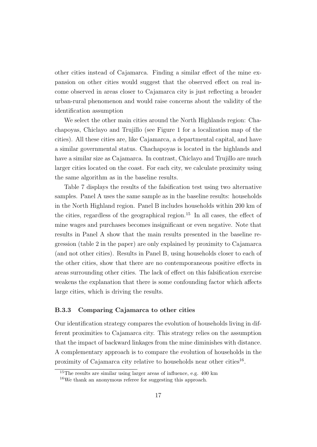other cities instead of Cajamarca. Finding a similar effect of the mine expansion on other cities would suggest that the observed effect on real income observed in areas closer to Cajamarca city is just reflecting a broader urban-rural phenomenon and would raise concerns about the validity of the identification assumption

We select the other main cities around the North Highlands region: Chachapoyas, Chiclayo and Trujillo (see Figure 1 for a localization map of the cities). All these cities are, like Cajamarca, a departmental capital, and have a similar governmental status. Chachapoyas is located in the highlands and have a similar size as Cajamarca. In contrast, Chiclayo and Trujillo are much larger cities located on the coast. For each city, we calculate proximity using the same algorithm as in the baseline results.

Table 7 displays the results of the falsification test using two alternative samples. Panel A uses the same sample as in the baseline results: households in the North Highland region. Panel B includes households within 200 km of the cities, regardless of the geographical region.<sup>15</sup> In all cases, the effect of mine wages and purchases becomes insignificant or even negative. Note that results in Panel A show that the main results presented in the baseline regression (table 2 in the paper) are only explained by proximity to Cajamarca (and not other cities). Results in Panel B, using households closer to each of the other cities, show that there are no contemporaneous positive effects in areas surrounding other cities. The lack of effect on this falsification exercise weakens the explanation that there is some confounding factor which affects large cities, which is driving the results.

#### B.3.3 Comparing Cajamarca to other cities

Our identification strategy compares the evolution of households living in different proximities to Cajamarca city. This strategy relies on the assumption that the impact of backward linkages from the mine diminishes with distance. A complementary approach is to compare the evolution of households in the proximity of Cajamarca city relative to households near other cities<sup>16</sup>.

<sup>15</sup>The results are similar using larger areas of influence, e.g. 400 km

<sup>16</sup>We thank an anonymous referee for suggesting this approach.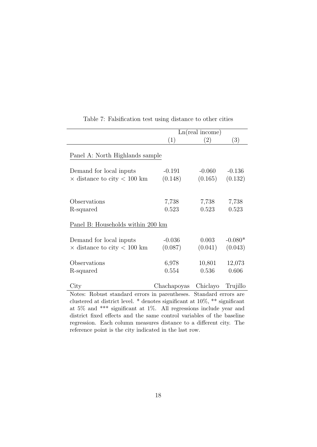|                                                                                                                                                                                                                                                                                                     |                               | Ln(real income)     |                      |
|-----------------------------------------------------------------------------------------------------------------------------------------------------------------------------------------------------------------------------------------------------------------------------------------------------|-------------------------------|---------------------|----------------------|
|                                                                                                                                                                                                                                                                                                     | (1)                           | (2)                 | (3)                  |
| Panel A: North Highlands sample                                                                                                                                                                                                                                                                     |                               |                     |                      |
| Demand for local inputs<br>$\times$ distance to city $< 100$ km                                                                                                                                                                                                                                     | $-0.191$<br>(0.148)           | $-0.060$<br>(0.165) | $-0.136$<br>(0.132)  |
| Observations<br>R-squared                                                                                                                                                                                                                                                                           | 7,738<br>0.523                | 7,738<br>0.523      | 7,738<br>0.523       |
| Panel B: Households within 200 km                                                                                                                                                                                                                                                                   |                               |                     |                      |
| Demand for local inputs<br>$\times$ distance to city $< 100$ km                                                                                                                                                                                                                                     | $-0.036$<br>(0.087)           | 0.003<br>(0.041)    | $-0.080*$<br>(0.043) |
| Observations<br>R-squared                                                                                                                                                                                                                                                                           | 6,978<br>0.554                | 10,801<br>0.536     | 12,073<br>0.606      |
| City                                                                                                                                                                                                                                                                                                | Chachapoyas Chiclayo Trujillo |                     |                      |
| Notes: Robust standard errors in parentheses. Standard errors are<br>clustered at district level. $*$ denotes significant at 10%, $**$ significant<br>at $5\%$ and *** significant at 1%. All regressions include year and<br>district fixed effects and the same control variables of the baseline |                               |                     |                      |
| regression. Each column measures distance to a different city. The                                                                                                                                                                                                                                  |                               |                     |                      |

## Table 7: Falsification test using distance to other cities

reference point is the city indicated in the last row.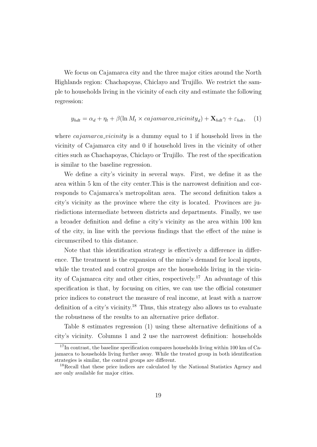We focus on Cajamarca city and the three major cities around the North Highlands region: Chachapoyas, Chiclayo and Trujillo. We restrict the sample to households living in the vicinity of each city and estimate the following regression:

$$
y_{hdt} = \alpha_d + \eta_t + \beta(\ln M_t \times cajamarca\_vicinity_d) + \mathbf{X}_{hdt}\gamma + \varepsilon_{hdt}, \quad (1)
$$

where *cajamarca vicinity* is a dummy equal to 1 if household lives in the vicinity of Cajamarca city and 0 if household lives in the vicinity of other cities such as Chachapoyas, Chiclayo or Trujillo. The rest of the specification is similar to the baseline regression.

We define a city's vicinity in several ways. First, we define it as the area within 5 km of the city center.This is the narrowest definition and corresponds to Cajamarca's metropolitan area. The second definition takes a city's vicinity as the province where the city is located. Provinces are jurisdictions intermediate between districts and departments. Finally, we use a broader definition and define a city's vicinity as the area within 100 km of the city, in line with the previous findings that the effect of the mine is circumscribed to this distance.

Note that this identification strategy is effectively a difference in difference. The treatment is the expansion of the mine's demand for local inputs, while the treated and control groups are the households living in the vicinity of Cajamarca city and other cities, respectively.<sup>17</sup> An advantage of this specification is that, by focusing on cities, we can use the official consumer price indices to construct the measure of real income, at least with a narrow definition of a city's vicinity.<sup>18</sup> Thus, this strategy also allows us to evaluate the robustness of the results to an alternative price deflator.

Table 8 estimates regression (1) using these alternative definitions of a city's vicinity. Columns 1 and 2 use the narrowest definition: households

<sup>&</sup>lt;sup>17</sup>In contrast, the baseline specification compares households living within 100 km of Cajamarca to households living further away. While the treated group in both identification strategies is similar, the control groups are different.

<sup>&</sup>lt;sup>18</sup>Recall that these price indices are calculated by the National Statistics Agency and are only available for major cities.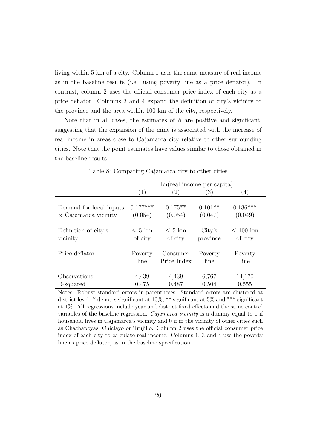living within 5 km of a city. Column 1 uses the same measure of real income as in the baseline results (i.e. using poverty line as a price deflator). In contrast, column 2 uses the official consumer price index of each city as a price deflator. Columns 3 and 4 expand the definition of city's vicinity to the province and the area within 100 km of the city, respectively.

Note that in all cases, the estimates of  $\beta$  are positive and significant, suggesting that the expansion of the mine is associated with the increase of real income in areas close to Cajamarca city relative to other surrounding cities. Note that the point estimates have values similar to those obtained in the baseline results.

|                             |                   | Ln(real income per capita) |                  |               |
|-----------------------------|-------------------|----------------------------|------------------|---------------|
|                             | $\left( 1\right)$ | $\left( 2\right)$          | $\left(3\right)$ | (4)           |
| Demand for local inputs     | $0.177***$        | $0.175**$                  | $0.101**$        | $0.136***$    |
| $\times$ Cajamarca vicinity | (0.054)           | (0.054)                    | (0.047)          | (0.049)       |
| Definition of city's        | $\rm < 5~km$      | $\rm < 5~km$               | City's           | $\leq 100$ km |
| vicinity                    | of city           | of city                    | province         | of city       |
| Price deflator              | Poverty           | Consumer                   | Poverty          | Poverty       |
|                             | line              | Price Index                | line             | line          |
| Observations                | 4,439             | 4,439                      | 6,767            | 14,170        |
| R-squared                   | 0.475             | 0.487                      | 0.504            | 0.555         |

Table 8: Comparing Cajamarca city to other cities

Notes: Robust standard errors in parentheses. Standard errors are clustered at district level. \* denotes significant at 10%, \*\* significant at 5% and \*\*\* significant at 1%. All regressions include year and district fixed effects and the same control variables of the baseline regression. Cajamarca vicinity is a dummy equal to 1 if household lives in Cajamarca's vicinity and 0 if in the vicinity of other cities such as Chachapoyas, Chiclayo or Trujillo. Column 2 uses the official consumer price index of each city to calculate real income. Columns 1, 3 and 4 use the poverty line as price deflator, as in the baseline specification.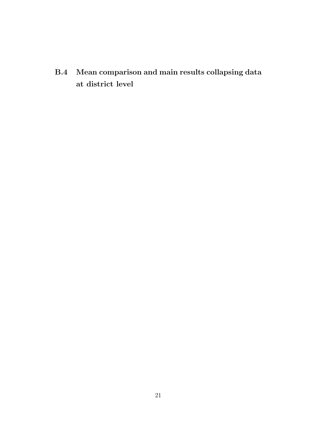B.4 Mean comparison and main results collapsing data at district level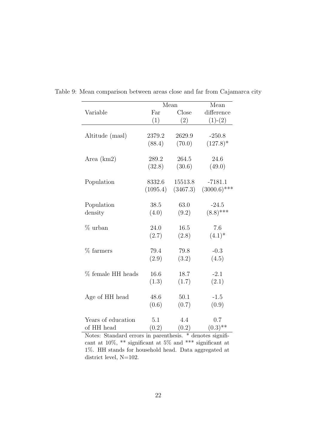|                    |          | Mean     | Mean           |
|--------------------|----------|----------|----------------|
| Variable           | Far      | Close    | difference     |
|                    | (1)      | (2)      | $(1)-(2)$      |
|                    |          |          |                |
| Altitude (masl)    | 2379.2   | 2629.9   | $-250.8$       |
|                    | (88.4)   | (70.0)   | $(127.8)^*$    |
| Area $(km2)$       | 289.2    | 264.5    | 24.6           |
|                    | (32.8)   | (30.6)   | (49.0)         |
| Population         | 8332.6   | 15513.8  | $-7181.1$      |
|                    | (1095.4) | (3467.3) | $(3000.6)$ *** |
| Population         | 38.5     | 63.0     | $-24.5$        |
| density            | (4.0)    | (9.2)    | $(8.8)$ ***    |
| % urban            | 24.0     | 16.5     | 7.6            |
|                    | (2.7)    | (2.8)    | $(4.1)^*$      |
| $%$ farmers        | 79.4     | 79.8     | $-0.3$         |
|                    | (2.9)    | (3.2)    | (4.5)          |
| % female HH heads  | 16.6     | 18.7     | $-2.1$         |
|                    | (1.3)    | (1.7)    | (2.1)          |
|                    | 48.6     | 50.1     | $-1.5$         |
| Age of HH head     |          |          |                |
|                    | (0.6)    | (0.7)    | (0.9)          |
| Years of education | 5.1      | 4.4      | 0.7            |
| of HH head         | (0.2)    | (0.2)    | $(0.3)$ **     |

Table 9: Mean comparison between areas close and far from Cajamarca city

Notes: Standard errors in parenthesis. \* denotes significant at  $10\%,$  \*\* significant at  $5\%$  and \*\*\* significant at 1%. HH stands for household head. Data aggregated at district level, N=102.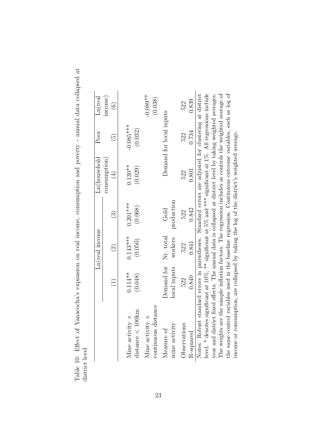| ş<br>i<br>l<br>.<br>.<br>.                                                                                                                                                                                                                                                                                                              |               |
|-----------------------------------------------------------------------------------------------------------------------------------------------------------------------------------------------------------------------------------------------------------------------------------------------------------------------------------------|---------------|
| I                                                                                                                                                                                                                                                                                                                                       |               |
| eha'a arraananan an mal inaana aan manimartian and paramtir annial data aallamad<br>S and the control<br>where the control of the control of the control of the control of the control of the control of the control of the control of the control of the control of the control of the control of the control of the control of the co |               |
|                                                                                                                                                                                                                                                                                                                                         |               |
|                                                                                                                                                                                                                                                                                                                                         |               |
| うという<br>$\frac{1}{2}$                                                                                                                                                                                                                                                                                                                   |               |
|                                                                                                                                                                                                                                                                                                                                         |               |
|                                                                                                                                                                                                                                                                                                                                         |               |
| j                                                                                                                                                                                                                                                                                                                                       |               |
| くさく けいせい こく<br>- 222.11<br>š<br>L<br>ï                                                                                                                                                                                                                                                                                                  |               |
|                                                                                                                                                                                                                                                                                                                                         | i             |
|                                                                                                                                                                                                                                                                                                                                         | por and a car |

|                                                                                                                  |                                   | In(real income     |                        | Ln(household               | Poor                     | $\rm Ln (real$    |
|------------------------------------------------------------------------------------------------------------------|-----------------------------------|--------------------|------------------------|----------------------------|--------------------------|-------------------|
|                                                                                                                  |                                   |                    |                        | consumption                |                          | income)           |
|                                                                                                                  | $\begin{pmatrix} 1 \end{pmatrix}$ | $\widehat{\Omega}$ | $\widehat{\mathbb{C}}$ | $\left(\frac{1}{2}\right)$ | $\widetilde{\mathbb{G}}$ | $\widehat{\circ}$ |
|                                                                                                                  |                                   |                    |                        |                            |                          |                   |
| Mine activity $\times$                                                                                           | $0.114**$                         | $0.143***$         | $0.201***$             | $0.130**$                  | $-0.085***$              |                   |
| $distance < 100 \text{km}$                                                                                       | (0.048)                           | (0.050)            | (0.068)                | (0.029)                    | (0.032)                  |                   |
| Mine activity $\times$                                                                                           |                                   |                    |                        |                            |                          | $-0.089**$        |
| continuous distance                                                                                              |                                   |                    |                        |                            |                          | (0.038)           |
| Measure of                                                                                                       | Demand for Nr. total              |                    | Gold                   |                            | Demand for local inputs  |                   |
| mine activity                                                                                                    | local inputs                      | workers            | production             |                            |                          |                   |
| Observations                                                                                                     | 522                               | 522                | 522                    | 522                        | 522                      | 522               |
| R-squared                                                                                                        | 0.840                             | 0.841              | 0.842                  | 0.801                      | 0.734                    | 0.839             |
| Notes: Robust standard errors in parentheses. Standard errors are adjusted for clustering at district            |                                   |                    |                        |                            |                          |                   |
| level. * denotes significant at $10\%$ , ** significant at 5% and *** significant at 1%. All regressions include |                                   |                    |                        |                            |                          |                   |
| year and district fixed effects. The annual data is collapsed at district level by taking weighted averages.     |                                   |                    |                        |                            |                          |                   |
| The weights are the sample inflation factors. The regression includes as controls the weighted average of        |                                   |                    |                        |                            |                          |                   |
| the same control variables used in the baseline regression. Continuous outcome variables, such as log of         |                                   |                    |                        |                            |                          |                   |
| income or consumption, are collapsed by taking the log of the district's weighted average.                       |                                   |                    |                        |                            |                          |                   |